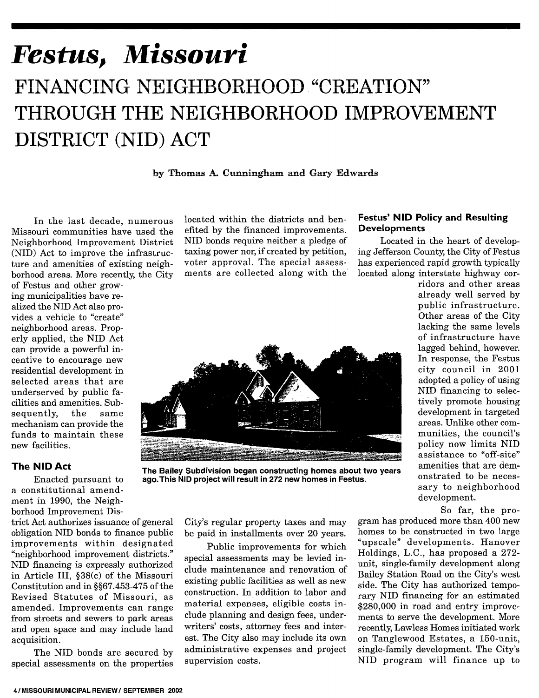# *Festus, Missouri*  $FINANCING~NEIGHBORHOOD~\n~"CREATION"$ THROUGH THE NEIGHBORHOOD IMPROVEMENT DISTRICT (NID) ACT

by Thomas A. Cunningham and Gary Edwards

In the last decade, numerous Missouri communities have used the Neighborhood Improvement District (NID) Act to improve the infrastructure and amenities of existing neighborhood areas. More recently, the City

of Festus and other growing municipalities have realized the NID Act also provides a vehicle to "create" neighborhood areas. Properly applied, the NID Act can provide a powerful incentive to encourage new residential development in selected areas that are underserved by public facilities and amenities. Subsequently, the same mechanism can provide the funds to maintain these new facilities.

#### **The NID Act**

Enacted pursuant to a constitutional amendment in 1990, the Neighborhood Improvement Dis-

trict Act authorizes issuance of general obligation NID bonds to finance public improvements within designated "neighborhood improvement districts." NID financing is expressly authorized in Article III, §38(c) of the Missouri Constitution and in §§67.453-475 of the Revised Statutes of Missouri, as amended. Improvements can range from streets and sewers to park areas and open space and may include land acquisition.

The NID bonds are secured by special assessments on the properties located within the districts and benefited by the financed improvements. NID bonds require neither a pledge of taxing power nor, if created by petition, voter approval. The special assessments are collected along with the



The Bailey Subdivision began constructing homes about two years ago. This NID project will result in 272 new homes in Festus.

City's regular property taxes and may be paid in installments over 20 years.

Public improvements for which special assessments may be levied include maintenance and renovation of existing public facilities as well as new construction. In addition to labor and material expenses, eligible costs include planning and design fees, underwriters' costs, attorney fees and interest. The City also may include its own administrative expenses and project supervision costs.

## Festus' NID Policy and Resulting Developments

Located in the heart of developing Jefferson County, the City of Festus has experienced rapid growth typically located along interstate highway cor-

> ridors and other areas already well served by public infrastructure. Other areas of the City lacking the same levels of infrastructure have lagged behind, however. In response, the Festus city council in 2001 adopted a policy of using NID financing to selectively promote housing development in targeted areas. Unlike other communities, the council's policy now limits NID assistance to "off-site" amenities that are demonstrated to be necessary to neighborhood development.

> > So far, the pro-

gram has produced more than 400 new homes to be constructed in two large "upscale" developments. Hanover Holdings, L.C., has proposed a 272 unit, single-family development along Bailey Station Road on the City's west side. The City has authorized temporary NID financing for an estimated \$280,000 in road and entry improvements to serve the development. More recently, Lawless Homes initiated work on Tanglewood Estates, a 150-unit, single-family development. The City's NID program will finance up to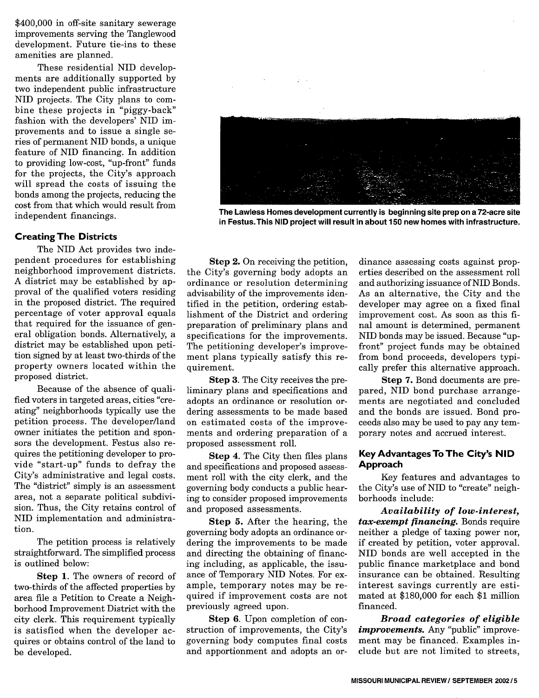\$400,000 in off-site sanitary sewerage improvements serving the Tanglewood development. Future tie-ins to these amenities are planned.

These residential NID developments are additionally supported by two independent public infrastructure NID projects. The City plans to combine these projects in "piggy-back" fashion with the developers' NID improvements and to issue a single series of permanent NID bonds, a unique feature of NID financing. In addition to providing low-cost, "up-front" funds for the projects, the City's approach will spread the costs of issuing the bonds among the projects, reducing the cost from that which would result from independent financings.

#### Creating The Districts

The NID Act provides two independent procedures for establishing neighborhood improvement districts. A district may be established by approval of the qualified voters residing in the proposed district. The required percentage of voter approval equals that required for the issuance of general obligation bonds. Alternatively, a district may be established upon petition signed by at least two-thirds of the property owners located within the proposed district.

Because of the absence of qualified voters in targeted areas, cities "creating" neighborhoods typically use the petition process. The developer/land owner initiates the petition and sponsors the development. Festus also requires the petitioning developer to provide "start-up" funds to defray the City's administrative and legal costs. The "district" simply is an assessment area, not a separate political subdivision. Thus, the City retains control of NID implementation and administration.

The petition process is relatively straightforward. The simplified process is outlined below:

Step 1. The owners of record of two-thirds of the affected properties by area file a Petition to Create a Neighborhood Improvement District with the city clerk. This requirement typically is satisfied when the developer acquires or obtains control of the land to be developed.



The Lawless Homes development currently is beginning site prep on a 72-acre site in Festus. This NID project will result in about 150 new homes with infrastructure.

Step 2. On receiving the petition, the City's governing body adopts an ordinance or resolution determining advisability of the improvements identified in the petition, ordering establishment of the District and ordering preparation of preliminary plans and specifications for the improvements. The petitioning developer's improvement plans typically satisfy this requirement.

Step 3. The City receives the preliminary plans and specifications and adopts an ordinance or resolution ordering assessments to be made based on estimated costs of the improvements and ordering preparation of a proposed assessment roll.

Step 4. The City then files plans and specifications and proposed assessment roll with the city clerk, and the governing body conducts a public hearing to consider proposed improvements and proposed assessments.

Step 5. After the hearing, the governing body adopts an ordinance ordering the improvements to be made and directing the obtaining of financing including, as applicable, the issuance of Temporary NID Notes. For example, temporary notes may be required if improvement costs are not previously agreed upon.

Step 6. Upon completion of construction of improvements, the City's governing body computes final costs and apportionment and adopts an or-

dinance assessing costs against properties described on the assessment roll and authorizing issuance ofNID Bonds. As an alternative, the City and the developer may agree on a fixed final improvement cost. As soon as this final amount is determined, permanent NID bonds may be issued. Because "upfront" project funds may be obtained from bond proceeds, developers typically prefer this alternative approach.

Step 7. Bond documents are prepared, NID bond purchase arrangements are negotiated and concluded and the bonds are issued. Bond proceeds also may be used to pay any temporary notes and accrued interest.

## Key Advantages To The City's **NID**  Approach

Key features and advantages to the City's use of NID to "create" neighborhoods include:

*Availability of low-interest, tax-exempt financing.* Bonds require neither a pledge of taxing power nor, if created by petition, voter approval. NID bonds are well accepted in the public finance marketplace and bond insurance can be obtained. Resulting interest savings currently are estimated at \$180,000 for each \$1 million financed.

*Broad categories of eligible improvements.* Any "public" improvement may be financed. Examples include but are not limited to streets,